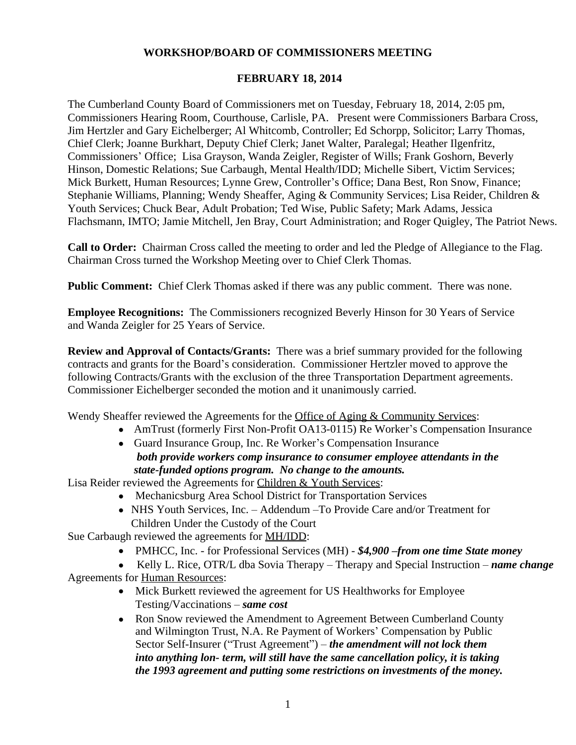### **WORKSHOP/BOARD OF COMMISSIONERS MEETING**

#### **FEBRUARY 18, 2014**

The Cumberland County Board of Commissioners met on Tuesday, February 18, 2014, 2:05 pm, Commissioners Hearing Room, Courthouse, Carlisle, PA. Present were Commissioners Barbara Cross, Jim Hertzler and Gary Eichelberger; Al Whitcomb, Controller; Ed Schorpp, Solicitor; Larry Thomas, Chief Clerk; Joanne Burkhart, Deputy Chief Clerk; Janet Walter, Paralegal; Heather Ilgenfritz, Commissioners' Office; Lisa Grayson, Wanda Zeigler, Register of Wills; Frank Goshorn, Beverly Hinson, Domestic Relations; Sue Carbaugh, Mental Health/IDD; Michelle Sibert, Victim Services; Mick Burkett, Human Resources; Lynne Grew, Controller's Office; Dana Best, Ron Snow, Finance; Stephanie Williams, Planning; Wendy Sheaffer, Aging & Community Services; Lisa Reider, Children & Youth Services; Chuck Bear, Adult Probation; Ted Wise, Public Safety; Mark Adams, Jessica Flachsmann, IMTO; Jamie Mitchell, Jen Bray, Court Administration; and Roger Quigley, The Patriot News.

**Call to Order:** Chairman Cross called the meeting to order and led the Pledge of Allegiance to the Flag. Chairman Cross turned the Workshop Meeting over to Chief Clerk Thomas.

**Public Comment:** Chief Clerk Thomas asked if there was any public comment. There was none.

**Employee Recognitions:** The Commissioners recognized Beverly Hinson for 30 Years of Service and Wanda Zeigler for 25 Years of Service.

**Review and Approval of Contacts/Grants:** There was a brief summary provided for the following contracts and grants for the Board's consideration. Commissioner Hertzler moved to approve the following Contracts/Grants with the exclusion of the three Transportation Department agreements. Commissioner Eichelberger seconded the motion and it unanimously carried.

Wendy Sheaffer reviewed the Agreements for the Office of Aging & Community Services:

- AmTrust (formerly First Non-Profit OA13-0115) Re Worker's Compensation Insurance
- Guard Insurance Group, Inc. Re Worker's Compensation Insurance

## *both provide workers comp insurance to consumer employee attendants in the state-funded options program. No change to the amounts.*

Lisa Reider reviewed the Agreements for Children & Youth Services:

- Mechanicsburg Area School District for Transportation Services
- NHS Youth Services, Inc. Addendum –To Provide Care and/or Treatment for Children Under the Custody of the Court

Sue Carbaugh reviewed the agreements for MH/IDD:

PMHCC, Inc. - for Professional Services (MH) - *\$4,900 –from one time State money*

 Kelly L. Rice, OTR/L dba Sovia Therapy – Therapy and Special Instruction – *name change* Agreements for Human Resources:

- Mick Burkett reviewed the agreement for US Healthworks for Employee Testing/Vaccinations – *same cost*
- Ron Snow reviewed the Amendment to Agreement Between Cumberland County and Wilmington Trust, N.A. Re Payment of Workers' Compensation by Public Sector Self-Insurer ("Trust Agreement") – *the amendment will not lock them into anything lon- term, will still have the same cancellation policy, it is taking the 1993 agreement and putting some restrictions on investments of the money.*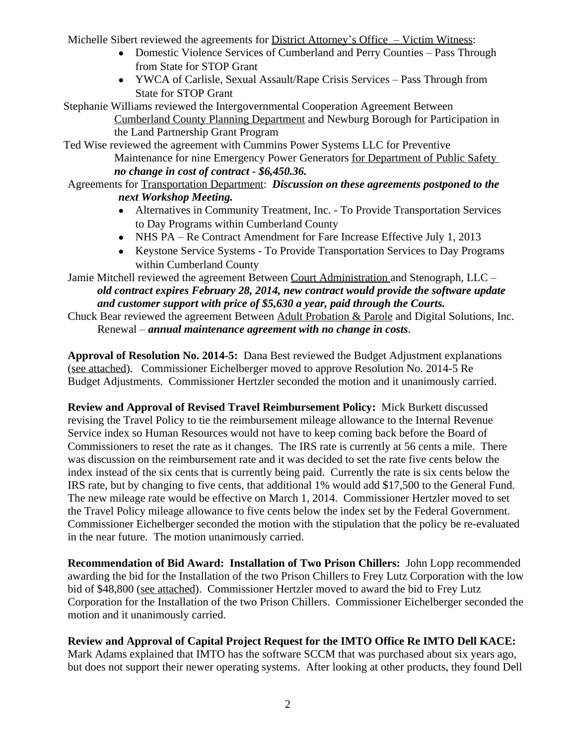Michelle Sibert reviewed the agreements for District Attorney's Office – Victim Witness:

- Domestic Violence Services of Cumberland and Perry Counties Pass Through from State for STOP Grant
- YWCA of Carlisle, Sexual Assault/Rape Crisis Services Pass Through from State for STOP Grant
- Stephanie Williams reviewed the Intergovernmental Cooperation Agreement Between Cumberland County Planning Department and Newburg Borough for Participation in the Land Partnership Grant Program
- Ted Wise reviewed the agreement with Cummins Power Systems LLC for Preventive Maintenance for nine Emergency Power Generators for Department of Public Safety *no change in cost of contract - \$6,450.36.*
- Agreements for Transportation Department: *Discussion on these agreements postponed to the next Workshop Meeting.*
	- Alternatives in Community Treatment, Inc. To Provide Transportation Services to Day Programs within Cumberland County
	- NHS PA Re Contract Amendment for Fare Increase Effective July 1, 2013
	- Keystone Service Systems To Provide Transportation Services to Day Programs within Cumberland County

Jamie Mitchell reviewed the agreement Between Court Administration and Stenograph, LLC – *old contract expires February 28, 2014, new contract would provide the software update and customer support with price of \$5,630 a year, paid through the Courts.*

Chuck Bear reviewed the agreement Between Adult Probation & Parole and Digital Solutions, Inc. Renewal – *annual maintenance agreement with no change in costs*.

**Approval of Resolution No. 2014-5:** Dana Best reviewed the Budget Adjustment explanations (see attached). Commissioner Eichelberger moved to approve Resolution No. 2014-5 Re Budget Adjustments. Commissioner Hertzler seconded the motion and it unanimously carried.

**Review and Approval of Revised Travel Reimbursement Policy:** Mick Burkett discussed revising the Travel Policy to tie the reimbursement mileage allowance to the Internal Revenue Service index so Human Resources would not have to keep coming back before the Board of Commissioners to reset the rate as it changes. The IRS rate is currently at 56 cents a mile. There was discussion on the reimbursement rate and it was decided to set the rate five cents below the index instead of the six cents that is currently being paid. Currently the rate is six cents below the IRS rate, but by changing to five cents, that additional 1% would add \$17,500 to the General Fund. The new mileage rate would be effective on March 1, 2014. Commissioner Hertzler moved to set the Travel Policy mileage allowance to five cents below the index set by the Federal Government. Commissioner Eichelberger seconded the motion with the stipulation that the policy be re-evaluated in the near future. The motion unanimously carried.

**Recommendation of Bid Award: Installation of Two Prison Chillers:** John Lopp recommended awarding the bid for the Installation of the two Prison Chillers to Frey Lutz Corporation with the low bid of \$48,800 (see attached). Commissioner Hertzler moved to award the bid to Frey Lutz Corporation for the Installation of the two Prison Chillers. Commissioner Eichelberger seconded the motion and it unanimously carried.

# **Review and Approval of Capital Project Request for the IMTO Office Re IMTO Dell KACE:**

Mark Adams explained that IMTO has the software SCCM that was purchased about six years ago, but does not support their newer operating systems. After looking at other products, they found Dell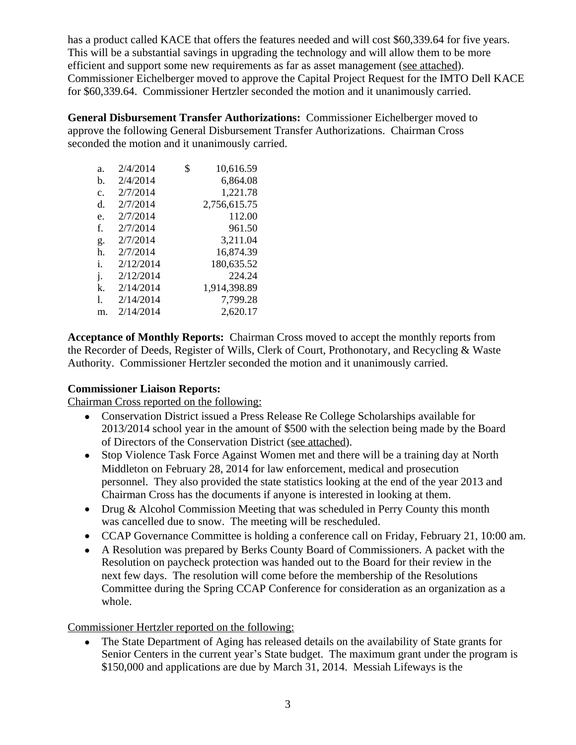has a product called KACE that offers the features needed and will cost \$60,339.64 for five years. This will be a substantial savings in upgrading the technology and will allow them to be more efficient and support some new requirements as far as asset management (see attached). Commissioner Eichelberger moved to approve the Capital Project Request for the IMTO Dell KACE for \$60,339.64. Commissioner Hertzler seconded the motion and it unanimously carried.

**General Disbursement Transfer Authorizations:** Commissioner Eichelberger moved to approve the following General Disbursement Transfer Authorizations. Chairman Cross seconded the motion and it unanimously carried.

| a.             | 2/4/2014  | \$<br>10,616.59 |
|----------------|-----------|-----------------|
| h.             | 2/4/2014  | 6,864.08        |
| $\mathbf{c}$ . | 2/7/2014  | 1,221.78        |
| d.             | 2/7/2014  | 2,756,615.75    |
| e.             | 2/7/2014  | 112.00          |
| f.             | 2/7/2014  | 961.50          |
| g.             | 2/7/2014  | 3,211.04        |
| h.             | 2/7/2014  | 16,874.39       |
| i.             | 2/12/2014 | 180,635.52      |
| j.             | 2/12/2014 | 224.24          |
| k.             | 2/14/2014 | 1,914,398.89    |
| 1.             | 2/14/2014 | 7,799.28        |
| m.             | 2/14/2014 | 2.620.17        |

**Acceptance of Monthly Reports:** Chairman Cross moved to accept the monthly reports from the Recorder of Deeds, Register of Wills, Clerk of Court, Prothonotary, and Recycling & Waste Authority. Commissioner Hertzler seconded the motion and it unanimously carried.

## **Commissioner Liaison Reports:**

Chairman Cross reported on the following:

- Conservation District issued a Press Release Re College Scholarships available for 2013/2014 school year in the amount of \$500 with the selection being made by the Board of Directors of the Conservation District (see attached).
- Stop Violence Task Force Against Women met and there will be a training day at North Middleton on February 28, 2014 for law enforcement, medical and prosecution personnel. They also provided the state statistics looking at the end of the year 2013 and Chairman Cross has the documents if anyone is interested in looking at them.
- Drug & Alcohol Commission Meeting that was scheduled in Perry County this month was cancelled due to snow. The meeting will be rescheduled.
- CCAP Governance Committee is holding a conference call on Friday, February 21, 10:00 am.
- A Resolution was prepared by Berks County Board of Commissioners. A packet with the Resolution on paycheck protection was handed out to the Board for their review in the next few days. The resolution will come before the membership of the Resolutions Committee during the Spring CCAP Conference for consideration as an organization as a whole.

## Commissioner Hertzler reported on the following:

• The State Department of Aging has released details on the availability of State grants for Senior Centers in the current year's State budget. The maximum grant under the program is \$150,000 and applications are due by March 31, 2014. Messiah Lifeways is the